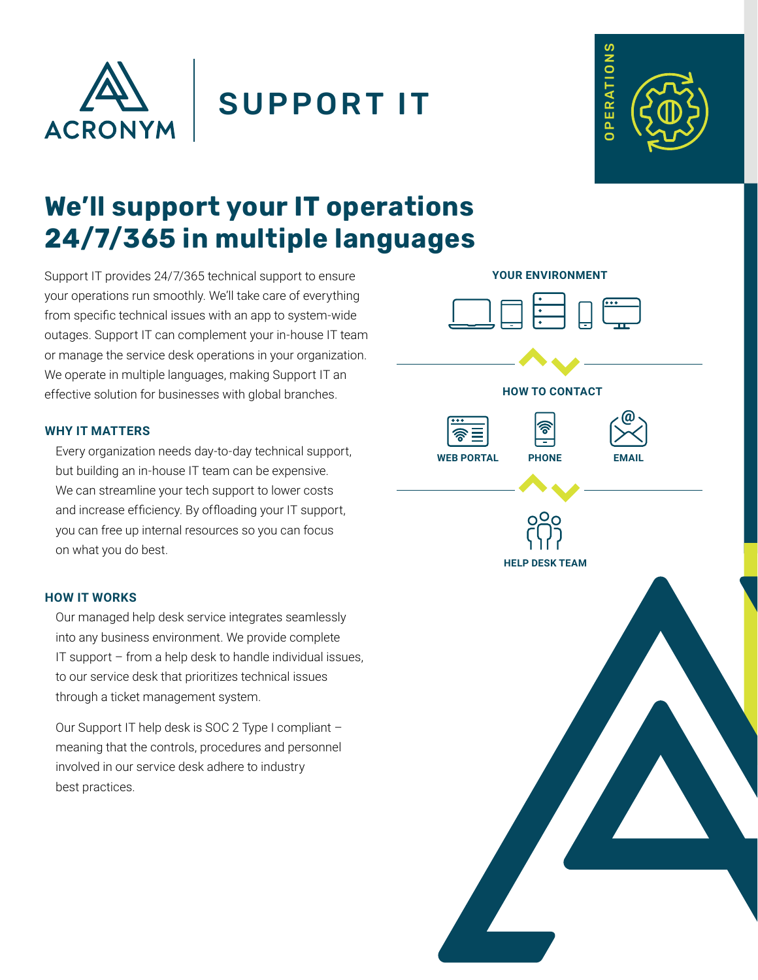

```
SUPPORT IT
```


# **We'll support your IT operations 24/7/365 in multiple languages**

Support IT provides 24/7/365 technical support to ensure your operations run smoothly. We'll take care of everything from specific technical issues with an app to system-wide outages. Support IT can complement your in-house IT team or manage the service desk operations in your organization. We operate in multiple languages, making Support IT an effective solution for businesses with global branches.

## **WHY IT MATTERS**

Every organization needs day-to-day technical support, but building an in-house IT team can be expensive. We can streamline your tech support to lower costs and increase efficiency. By offloading your IT support, you can free up internal resources so you can focus on what you do best.

### **HOW IT WORKS**

Our managed help desk service integrates seamlessly into any business environment. We provide complete IT support – from a help desk to handle individual issues, to our service desk that prioritizes technical issues through a ticket management system.

Our Support IT help desk is SOC 2 Type I compliant – meaning that the controls, procedures and personnel involved in our service desk adhere to industry best practices.